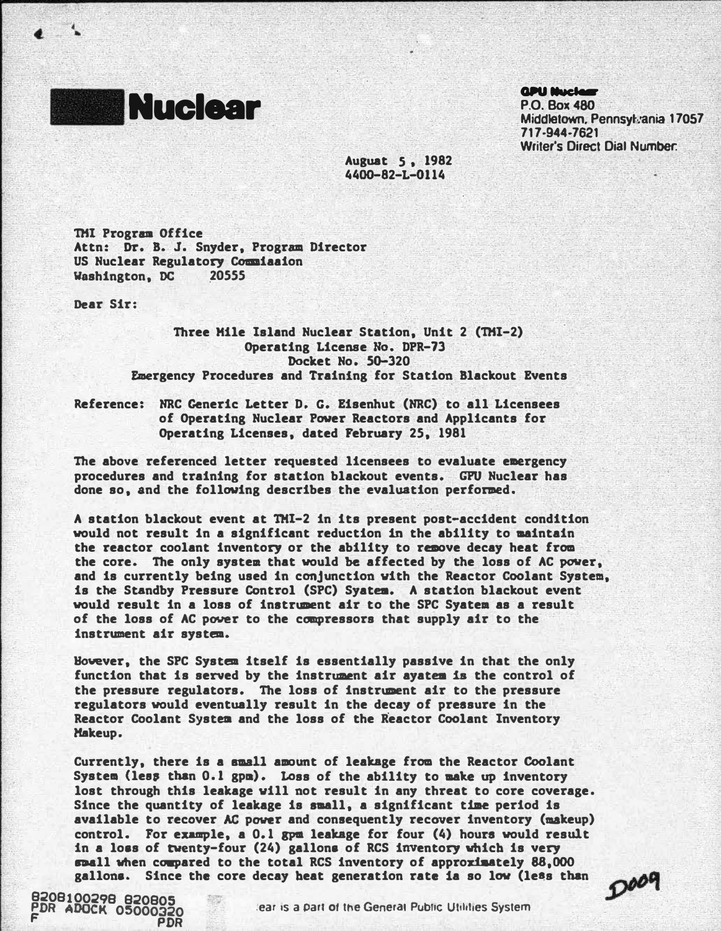

**QDU Muclear** 

P.O. Box480 Middletown, Pennsylvania 17057 717-944-7621 Writer's Direct Dial Number:

Ausuat 5 , 1982 440G-82-L-Q114

THl Prograa Office Attn: Dr. B. J. Snyder, Program Director US Nuclear Regulatory Coaaiaaion Washington, DC 20555

Dear Sir:

t •

> Three Mile Island Nuclear Station, Unit 2 (THI-2) Operating Licenae No. DPR-73 Docket No. SG-320 Emergency Procedures and Training for Station Blackout Events

Reference: NRC Generic Letter D. G. Eisenhut (NRC) to all Licensees of Operating Nuclear Power Reactors and Applicants for Operating Licenses, dated February 25, 1981

The above referenced letter requested licensees to evaluate emergency procedures and training for station blackout events. GPU Nuclear has done so, and the following describes the evaluation performed.

A station blackout event at TMl-2 in its present post-accident condition would not result in a significant reduction in the ability to maintain the reactor coolant inventory or the ability to remove decay heat from the core. The only system that would be affected by the loss of AC power, and is currently being used in conjunction vith the Reactor Coolant System, is the Standby Pressure Control (SPC) Syatea. A station blackout event would result in a loss of instrument air to the SPC Syatem as a result of the loss of AC power to the compressors that supply air to the instrument air system.

However, the SPC System itself is essentially passive in that the only function that is served by the instrument air ayatea is the control of the pressure regulators. The loss of instrument air to the pressure regulators would eventually result in the decay of pressure in the Reactor Coolant System and the loss of the Reactor Coolant Inventory Makeup.

Currently, there is a small amount of leakage from the Reactor Coolant System (less than 0.1 gpm). Loss of the ability to make up inventory lost through this leakage vill not result in any threat to core coverage. Since the quantity of leakage is small, a significant time period is available to recover AC power and consequently recover inventory (makeup) control. For example, a 0.1 gpm leakage for four (4) hours would result in a loss of twenty-four (24) gallons of RCS inventory vhicb is very spall when compared to the total RCS inventory of approximately 88,000 gallons. Since the core decay heat generation rate ia so low (less than

 $D^{\rho\rho}$ 

8208100298 820805 PDR ADOCK 05000320 :ear •s a part of the General Public Ullhlles System F PDR